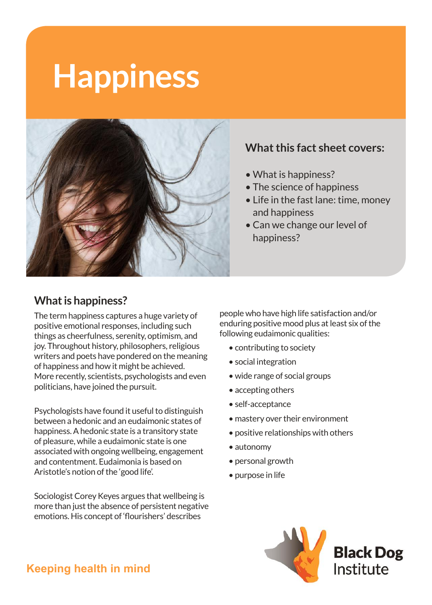# **Happiness**



#### **What this fact sheet covers:**

- What is happiness?
- The science of happiness
- Life in the fast lane: time, money and happiness
- Can we change our level of happiness?

#### **What is happiness?**

The term happiness captures a huge variety of positive emotional responses, including such things as cheerfulness, serenity, optimism, and joy. Throughout history, philosophers, religious writers and poets have pondered on the meaning of happiness and how it might be achieved. More recently, scientists, psychologists and even politicians, have joined the pursuit.

Psychologists have found it useful to distinguish between a hedonic and an eudaimonic states of happiness. A hedonic state is a transitory state of pleasure, while a eudaimonic state is one associated with ongoing wellbeing, engagement and contentment. Eudaimonia is based on Aristotle's notion of the 'good life'.

Sociologist Corey Keyes argues that wellbeing is more than just the absence of persistent negative emotions. His concept of 'flourishers' describes

people who have high life satisfaction and/or enduring positive mood plus at least six of the following eudaimonic qualities:

- contributing to society
- social integration
- wide range of social groups
- accepting others
- self-acceptance
- mastery over their environment
- positive relationships with others
- autonomy
- personal growth
- purpose in life



# **Keeping health in mind**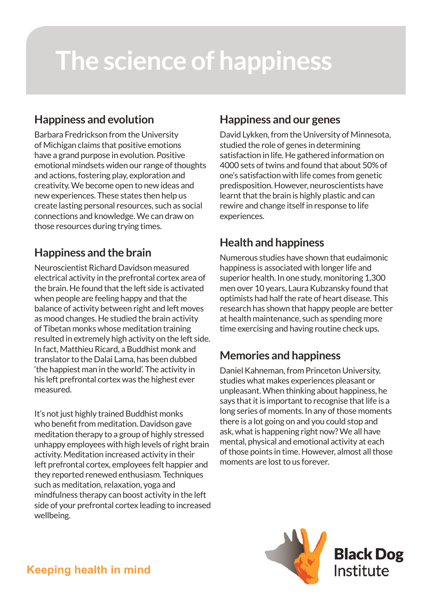# **The science of happiness**

# **Happiness and evolution**

Barbara Fredrickson from the University of Michigan claims that positive emotions have a grand purpose in evolution. Positive emotional mindsets widen our range of thoughts and actions, fostering play, exploration and creativity. We become open to new ideas and new experiences. These states then help us create lasting personal resources, such as social connections and knowledge. We can draw on those resources during trying times.

# **Happiness and the brain**

Neuroscientist Richard Davidson measured electrical activity in the prefrontal cortex area of the brain. He found that the left side is activated when people are feeling happy and that the balance of activity between right and left moves as mood changes. He studied the brain activity of Tibetan monks whose meditation training resulted in extremely high activity on the left side. In fact, Matthieu Ricard, a Buddhist monk and translator to the Dalai Lama, has been dubbed 'the happiest man in the world'. The activity in his left prefrontal cortex was the highest ever measured.

It's not just highly trained Buddhist monks who benefit from meditation. Davidson gave meditation therapy to a group of highly stressed unhappy employees with high levels of right brain activity. Meditation increased activity in their left prefrontal cortex, employees felt happier and they reported renewed enthusiasm. Techniques such as meditation, relaxation, yoga and mindfulness therapy can boost activity in the left side of your prefrontal cortex leading to increased wellbeing.

# **Happiness and our genes**

David Lykken, from the University of Minnesota, studied the role of genes in determining satisfaction in life. He gathered information on 4000 sets of twins and found that about 50% of one's satisfaction with life comes from genetic predisposition. However, neuroscientists have learnt that the brain is highly plastic and can rewire and change itself in response to life experiences.

# **Health and happiness**

Numerous studies have shown that eudaimonic happiness is associated with longer life and superior health. In one study, monitoring 1,300 men over 10 years, Laura Kubzansky found that optimists had half the rate of heart disease. This research has shown that happy people are better at health maintenance, such as spending more time exercising and having routine check ups.

# **Memories and happiness**

Daniel Kahneman, from Princeton University, studies what makes experiences pleasant or unpleasant. When thinking about happiness, he says that it is important to recognise that life is a long series of moments. In any of those moments there is a lot going on and you could stop and ask, what is happening right now? We all have mental, physical and emotional activity at each of those points in time. However, almost all those moments are lost to us forever.

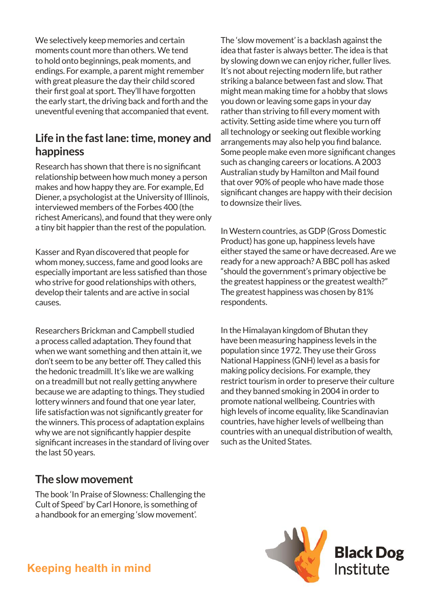We selectively keep memories and certain moments count more than others. We tend to hold onto beginnings, peak moments, and endings. For example, a parent might remember with great pleasure the day their child scored their first goal at sport. They'll have forgotten the early start, the driving back and forth and the uneventful evening that accompanied that event.

#### **Life in the fast lane: time, money and happiness**

Research has shown that there is no significant relationship between how much money a person makes and how happy they are. For example, Ed Diener, a psychologist at the University of Illinois, interviewed members of the Forbes 400 (the richest Americans), and found that they were only a tiny bit happier than the rest of the population.

Kasser and Ryan discovered that people for whom money, success, fame and good looks are especially important are less satisfied than those who strive for good relationships with others, develop their talents and are active in social causes.

Researchers Brickman and Campbell studied a process called adaptation. They found that when we want something and then attain it, we don't seem to be any better off. They called this the hedonic treadmill. It's like we are walking on a treadmill but not really getting anywhere because we are adapting to things. They studied lottery winners and found that one year later, life satisfaction was not significantly greater for the winners. This process of adaptation explains why we are not significantly happier despite significant increases in the standard of living over the last 50 years.

#### **The slow movement**

The book 'In Praise of Slowness: Challenging the Cult of Speed' by Carl Honore, is something of a handbook for an emerging 'slow movement'.

The 'slow movement' is a backlash against the idea that faster is always better. The idea is that by slowing down we can enjoy richer, fuller lives. It's not about rejecting modern life, but rather striking a balance between fast and slow. That might mean making time for a hobby that slows you down or leaving some gaps in your day rather than striving to fill every moment with activity. Setting aside time where you turn off all technology or seeking out flexible working arrangements may also help you find balance. Some people make even more significant changes such as changing careers or locations. A 2003 Australian study by Hamilton and Mail found that over 90% of people who have made those significant changes are happy with their decision to downsize their lives.

In Western countries, as GDP (Gross Domestic Product) has gone up, happiness levels have either stayed the same or have decreased. Are we ready for a new approach? A BBC poll has asked "should the government's primary objective be the greatest happiness or the greatest wealth?" The greatest happiness was chosen by 81% respondents.

In the Himalayan kingdom of Bhutan they have been measuring happiness levels in the population since 1972. They use their Gross National Happiness (GNH) level as a basis for making policy decisions. For example, they restrict tourism in order to preserve their culture and they banned smoking in 2004 in order to promote national wellbeing. Countries with high levels of income equality, like Scandinavian countries, have higher levels of wellbeing than countries with an unequal distribution of wealth, such as the United States.



**Keeping health in mind**